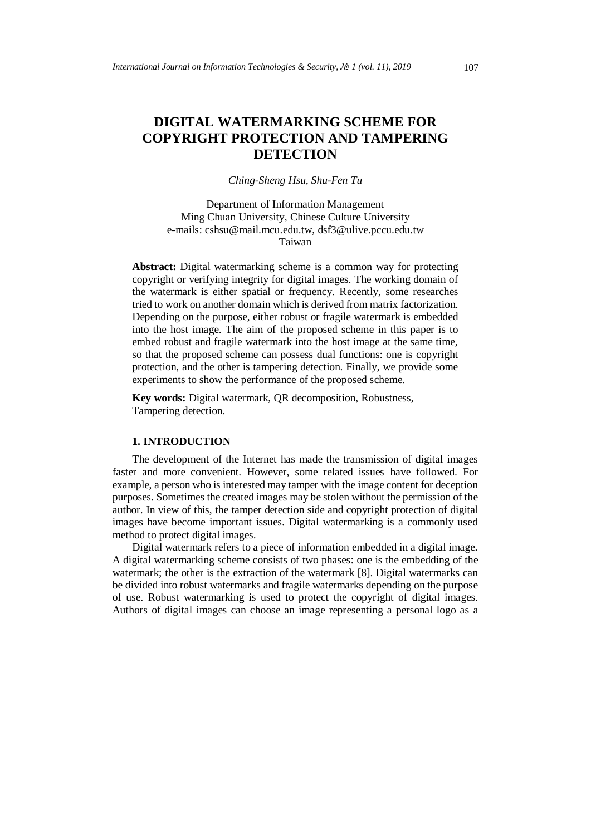# **DIGITAL WATERMARKING SCHEME FOR COPYRIGHT PROTECTION AND TAMPERING DETECTION**

*Ching-Sheng Hsu, Shu-Fen Tu*

Department of Information Management Ming Chuan University, Chinese Culture University e-mails: cshsu@mail.mcu.edu.tw, dsf3@ulive.pccu.edu.tw Taiwan

**Abstract:** Digital watermarking scheme is a common way for protecting copyright or verifying integrity for digital images. The working domain of the watermark is either spatial or frequency. Recently, some researches tried to work on another domain which is derived from matrix factorization. Depending on the purpose, either robust or fragile watermark is embedded into the host image. The aim of the proposed scheme in this paper is to embed robust and fragile watermark into the host image at the same time, so that the proposed scheme can possess dual functions: one is copyright protection, and the other is tampering detection. Finally, we provide some experiments to show the performance of the proposed scheme.

**Key words:** Digital watermark, QR decomposition, Robustness, Tampering detection.

# **1. INTRODUCTION**

The development of the Internet has made the transmission of digital images faster and more convenient. However, some related issues have followed. For example, a person who is interested may tamper with the image content for deception purposes. Sometimes the created images may be stolen without the permission of the author. In view of this, the tamper detection side and copyright protection of digital images have become important issues. Digital watermarking is a commonly used method to protect digital images.

Digital watermark refers to a piece of information embedded in a digital image. A digital watermarking scheme consists of two phases: one is the embedding of the watermark; the other is the extraction of the watermark [8]. Digital watermarks can be divided into robust watermarks and fragile watermarks depending on the purpose of use. Robust watermarking is used to protect the copyright of digital images. Authors of digital images can choose an image representing a personal logo as a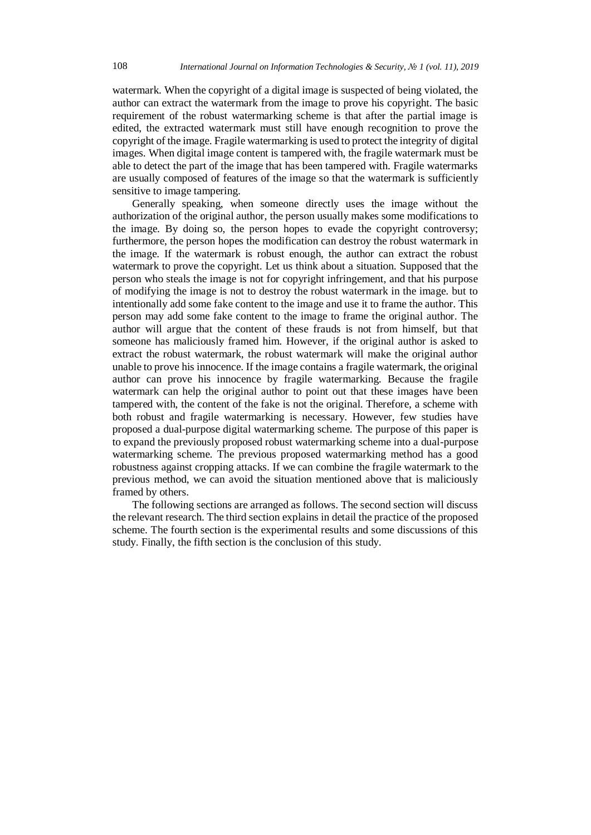watermark. When the copyright of a digital image is suspected of being violated, the author can extract the watermark from the image to prove his copyright. The basic requirement of the robust watermarking scheme is that after the partial image is edited, the extracted watermark must still have enough recognition to prove the copyright of the image. Fragile watermarking is used to protect the integrity of digital images. When digital image content is tampered with, the fragile watermark must be able to detect the part of the image that has been tampered with. Fragile watermarks are usually composed of features of the image so that the watermark is sufficiently sensitive to image tampering.

Generally speaking, when someone directly uses the image without the authorization of the original author, the person usually makes some modifications to the image. By doing so, the person hopes to evade the copyright controversy; furthermore, the person hopes the modification can destroy the robust watermark in the image. If the watermark is robust enough, the author can extract the robust watermark to prove the copyright. Let us think about a situation. Supposed that the person who steals the image is not for copyright infringement, and that his purpose of modifying the image is not to destroy the robust watermark in the image. but to intentionally add some fake content to the image and use it to frame the author. This person may add some fake content to the image to frame the original author. The author will argue that the content of these frauds is not from himself, but that someone has maliciously framed him. However, if the original author is asked to extract the robust watermark, the robust watermark will make the original author unable to prove his innocence. If the image contains a fragile watermark, the original author can prove his innocence by fragile watermarking. Because the fragile watermark can help the original author to point out that these images have been tampered with, the content of the fake is not the original. Therefore, a scheme with both robust and fragile watermarking is necessary. However, few studies have proposed a dual-purpose digital watermarking scheme. The purpose of this paper is to expand the previously proposed robust watermarking scheme into a dual-purpose watermarking scheme. The previous proposed watermarking method has a good robustness against cropping attacks. If we can combine the fragile watermark to the previous method, we can avoid the situation mentioned above that is maliciously framed by others.

The following sections are arranged as follows. The second section will discuss the relevant research. The third section explains in detail the practice of the proposed scheme. The fourth section is the experimental results and some discussions of this study. Finally, the fifth section is the conclusion of this study.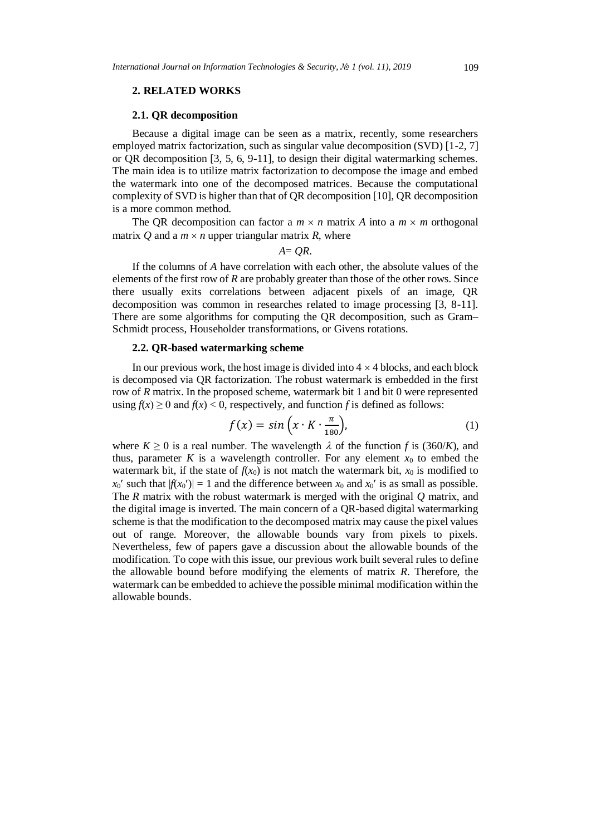## **2. RELATED WORKS**

#### **2.1. QR decomposition**

Because a digital image can be seen as a matrix, recently, some researchers employed matrix factorization, such as singular value decomposition (SVD) [1-2, 7] or QR decomposition [3, 5, 6, 9-11], to design their digital watermarking schemes. The main idea is to utilize matrix factorization to decompose the image and embed the watermark into one of the decomposed matrices. Because the computational complexity of SVD is higher than that of QR decomposition [10], QR decomposition is a more common method.

The QR decomposition can factor a  $m \times n$  matrix *A* into a  $m \times m$  orthogonal matrix *Q* and a  $m \times n$  upper triangular matrix *R*, where

 $A = OR$ .

If the columns of *A* have correlation with each other, the absolute values of the elements of the first row of *R* are probably greater than those of the other rows. Since there usually exits correlations between adjacent pixels of an image, QR decomposition was common in researches related to image processing [3, 8-11]. There are some algorithms for computing the QR decomposition, such as Gram– Schmidt process, Householder transformations, or Givens rotations.

# **2.2. QR-based watermarking scheme**

In our previous work, the host image is divided into  $4 \times 4$  blocks, and each block is decomposed via QR factorization. The robust watermark is embedded in the first row of *R* matrix. In the proposed scheme, watermark bit 1 and bit 0 were represented using  $f(x) \ge 0$  and  $f(x) < 0$ , respectively, and function *f* is defined as follows:

$$
f(x) = \sin\left(x \cdot K \cdot \frac{\pi}{180}\right),\tag{1}
$$

where  $K \ge 0$  is a real number. The wavelength  $\lambda$  of the function f is (360/K), and thus, parameter  $K$  is a wavelength controller. For any element  $x_0$  to embed the watermark bit, if the state of  $f(x_0)$  is not match the watermark bit,  $x_0$  is modified to  $x_0'$  such that  $|f(x_0')| = 1$  and the difference between  $x_0$  and  $x_0'$  is as small as possible. The *R* matrix with the robust watermark is merged with the original *Q* matrix, and the digital image is inverted. The main concern of a QR-based digital watermarking scheme is that the modification to the decomposed matrix may cause the pixel values out of range. Moreover, the allowable bounds vary from pixels to pixels. Nevertheless, few of papers gave a discussion about the allowable bounds of the modification. To cope with this issue, our previous work built several rules to define the allowable bound before modifying the elements of matrix *R*. Therefore, the watermark can be embedded to achieve the possible minimal modification within the allowable bounds.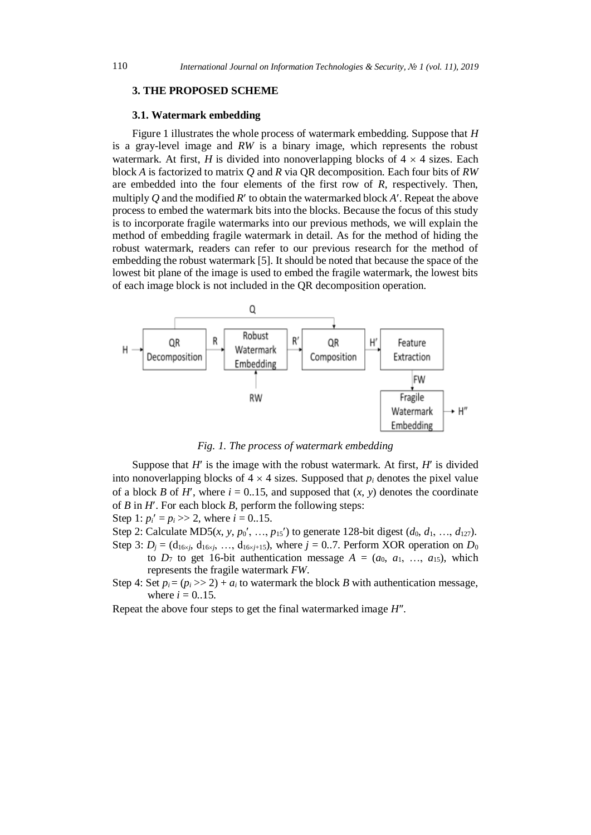# **3. THE PROPOSED SCHEME**

#### **3.1. Watermark embedding**

Figure 1 illustrates the whole process of watermark embedding. Suppose that *H* is a gray-level image and *RW* is a binary image, which represents the robust watermark. At first, *H* is divided into nonoverlapping blocks of  $4 \times 4$  sizes. Each block *A* is factorized to matrix *Q* and *R* via QR decomposition. Each four bits of *RW* are embedded into the four elements of the first row of *R*, respectively. Then, multiply *O* and the modified  $R'$  to obtain the watermarked block  $A'$ . Repeat the above process to embed the watermark bits into the blocks. Because the focus of this study is to incorporate fragile watermarks into our previous methods, we will explain the method of embedding fragile watermark in detail. As for the method of hiding the robust watermark, readers can refer to our previous research for the method of embedding the robust watermark [5]. It should be noted that because the space of the lowest bit plane of the image is used to embed the fragile watermark, the lowest bits of each image block is not included in the QR decomposition operation.



*Fig. 1. The process of watermark embedding*

Suppose that  $H'$  is the image with the robust watermark. At first,  $H'$  is divided into nonoverlapping blocks of  $4 \times 4$  sizes. Supposed that  $p_i$  denotes the pixel value of a block *B* of *H'*, where  $i = 0.15$ , and supposed that  $(x, y)$  denotes the coordinate of *B* in *H*. For each block *B*, perform the following steps:

Step 1:  $p_i' = p_i \gg 2$ , where  $i = 0.15$ .

Step 2: Calculate MD5(*x*, *y*, *p*<sub>0</sub>', …, *p*<sub>15</sub>') to generate 128-bit digest ( $d_0, d_1, ..., d_{127}$ ).

Step 3:  $D_i = (d_{16\times i}, d_{16\times i}, \ldots, d_{16\times i+15})$ , where  $j = 0..7$ . Perform XOR operation on  $D_0$ to  $D_7$  to get 16-bit authentication message  $A = (a_0, a_1, ..., a_{15})$ , which represents the fragile watermark *FW*.

Step 4: Set  $p_i = (p_i \gg 2) + a_i$  to watermark the block *B* with authentication message, where  $i = 0.15$ .

Repeat the above four steps to get the final watermarked image *H*.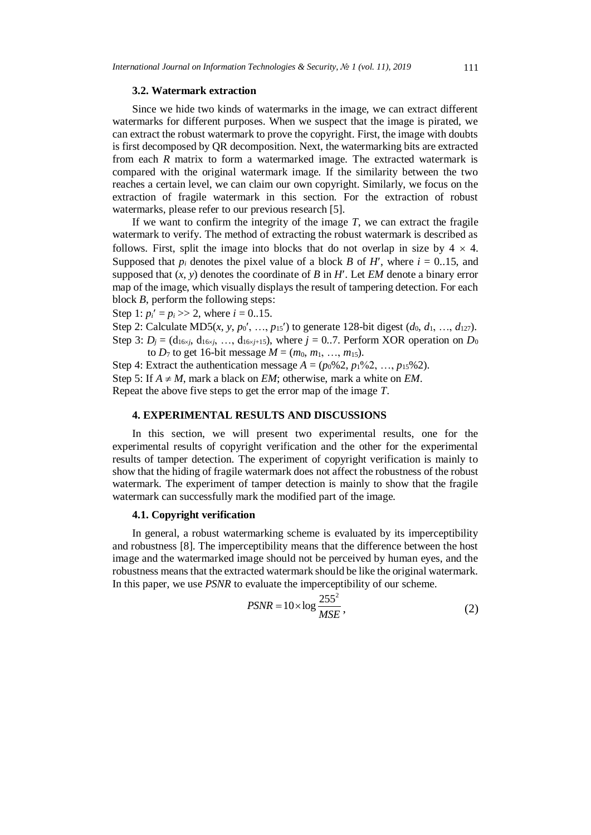# **3.2. Watermark extraction**

Since we hide two kinds of watermarks in the image, we can extract different watermarks for different purposes. When we suspect that the image is pirated, we can extract the robust watermark to prove the copyright. First, the image with doubts is first decomposed by QR decomposition. Next, the watermarking bits are extracted from each *R* matrix to form a watermarked image. The extracted watermark is compared with the original watermark image. If the similarity between the two reaches a certain level, we can claim our own copyright. Similarly, we focus on the extraction of fragile watermark in this section. For the extraction of robust watermarks, please refer to our previous research [5].

If we want to confirm the integrity of the image *T*, we can extract the fragile watermark to verify. The method of extracting the robust watermark is described as follows. First, split the image into blocks that do not overlap in size by  $4 \times 4$ . Supposed that  $p_i$  denotes the pixel value of a block *B* of *H'*, where  $i = 0.15$ , and supposed that  $(x, y)$  denotes the coordinate of *B* in *H'*. Let *EM* denote a binary error map of the image, which visually displays the result of tampering detection. For each block *B*, perform the following steps:

Step 1:  $p_i' = p_i \gg 2$ , where  $i = 0.15$ .

Step 2: Calculate MD5(*x*, *y*, *p*<sub>0</sub>', …, *p*<sub>15</sub>') to generate 128-bit digest ( $d_0, d_1, ..., d_{127}$ ). Step 3:  $D_j = (d_{16\times j}, d_{16\times j}, \ldots, d_{16\times j+15})$ , where  $j = 0..7$ . Perform XOR operation on  $D_0$ to  $D_7$  to get 16-bit message  $M = (m_0, m_1, ..., m_{15})$ .

Step 4: Extract the authentication message  $A = (p_0\%2, p_1\%2, ..., p_{15}\%2)$ . Step 5: If  $A \neq M$ , mark a black on *EM*; otherwise, mark a white on *EM*. Repeat the above five steps to get the error map of the image *T*.

# **4. EXPERIMENTAL RESULTS AND DISCUSSIONS**

In this section, we will present two experimental results, one for the experimental results of copyright verification and the other for the experimental results of tamper detection. The experiment of copyright verification is mainly to show that the hiding of fragile watermark does not affect the robustness of the robust watermark. The experiment of tamper detection is mainly to show that the fragile watermark can successfully mark the modified part of the image.

### **4.1. Copyright verification**

In general, a robust watermarking scheme is evaluated by its imperceptibility and robustness [8]. The imperceptibility means that the difference between the host image and the watermarked image should not be perceived by human eyes, and the robustness means that the extracted watermark should be like the original watermark. In this paper, we use *PSNR* to evaluate the imperceptibility of our scheme.

$$
PSNR = 10 \times \log \frac{255^2}{MSE},\tag{2}
$$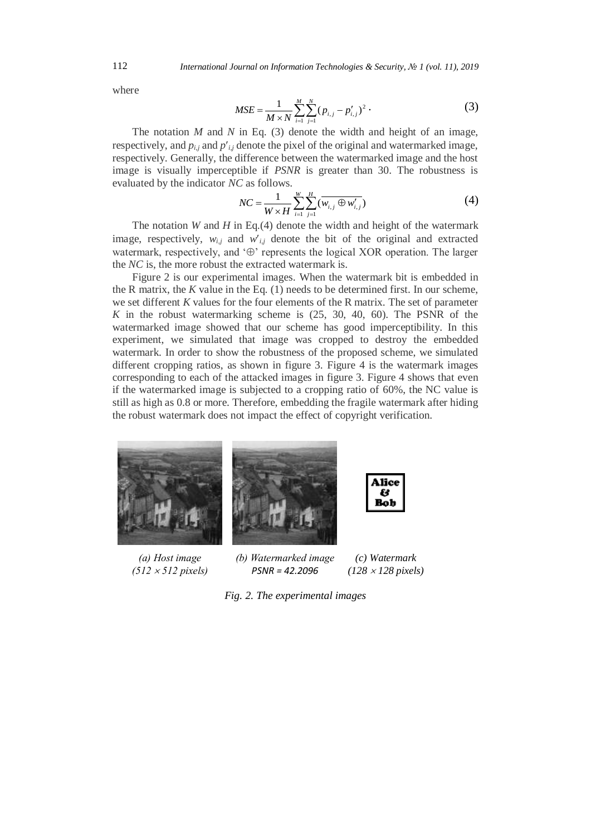where

$$
MSE = \frac{1}{M \times N} \sum_{i=1}^{M} \sum_{j=1}^{N} (p_{i,j} - p'_{i,j})^2
$$
 (3)

The notation *M* and *N* in Eq. (3) denote the width and height of an image, respectively, and  $p_{i,j}$  and  $p'_{i,j}$  denote the pixel of the original and watermarked image, respectively. Generally, the difference between the watermarked image and the host image is visually imperceptible if *PSNR* is greater than 30. The robustness is evaluated by the indicator *NC* as follows.

$$
NC = \frac{1}{W \times H} \sum_{i=1}^{W} \sum_{j=1}^{H} (\overline{w_{i,j} \oplus w'_{i,j}})
$$
(4)

The notation *W* and *H* in Eq.(4) denote the width and height of the watermark image, respectively,  $w_{i,j}$  and  $w'_{i,j}$  denote the bit of the original and extracted watermark, respectively, and  $\Theta$  represents the logical XOR operation. The larger the *NC* is, the more robust the extracted watermark is.

Figure 2 is our experimental images. When the watermark bit is embedded in the R matrix, the *K* value in the Eq. (1) needs to be determined first. In our scheme, we set different *K* values for the four elements of the R matrix. The set of parameter *K* in the robust watermarking scheme is (25, 30, 40, 60). The PSNR of the watermarked image showed that our scheme has good imperceptibility. In this experiment, we simulated that image was cropped to destroy the embedded watermark. In order to show the robustness of the proposed scheme, we simulated different cropping ratios, as shown in figure 3. Figure 4 is the watermark images corresponding to each of the attacked images in figure 3. Figure 4 shows that even if the watermarked image is subjected to a cropping ratio of 60%, the NC value is still as high as 0.8 or more. Therefore, embedding the fragile watermark after hiding the robust watermark does not impact the effect of copyright verification.



*(a) Host image (512 512 pixels)*

*(b) Watermarked image PSNR = 42.2096 (128 128 pixels)*

*Fig. 2. The experimental images*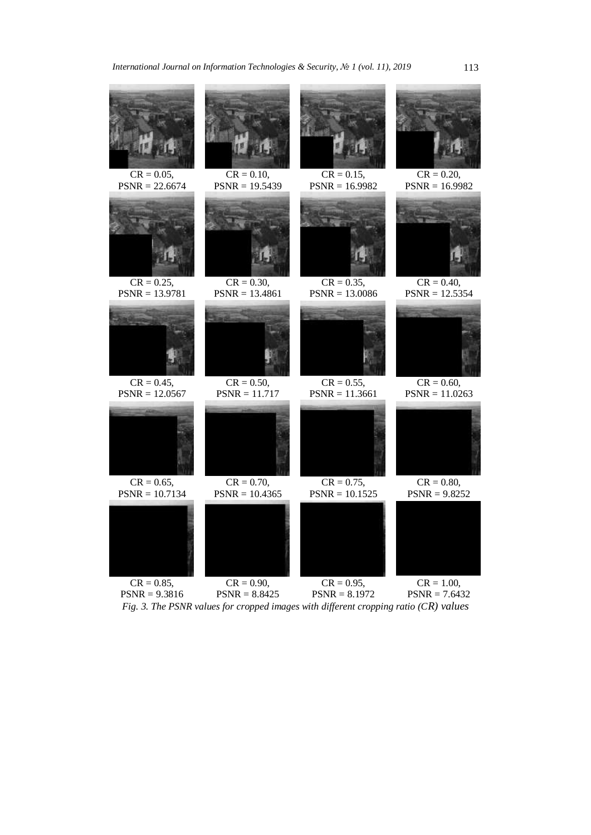

*Fig. 3. The PSNR values for cropped images with different cropping ratio (CR) values*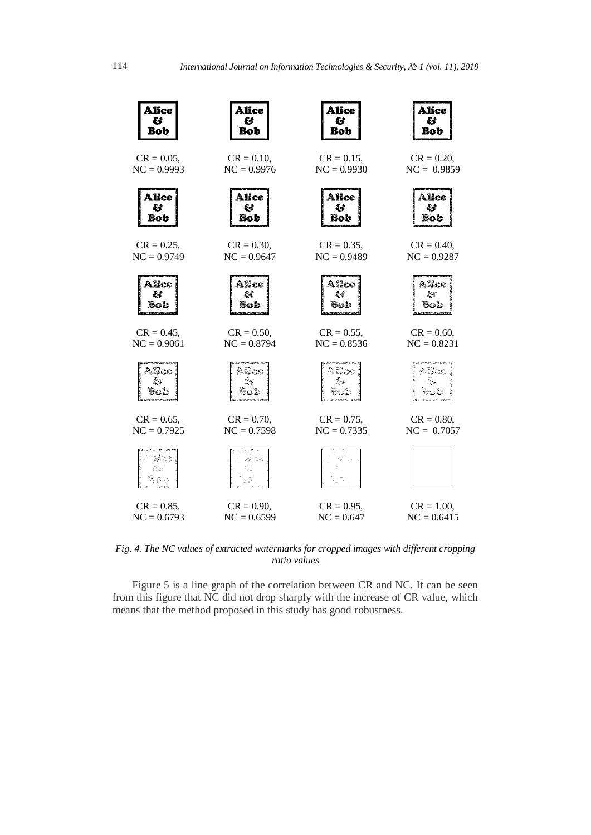![](_page_7_Figure_2.jpeg)

*Fig. 4. The NC values of extracted watermarks for cropped images with different cropping ratio values*

Figure 5 is a line graph of the correlation between CR and NC. It can be seen from this figure that NC did not drop sharply with the increase of CR value, which means that the method proposed in this study has good robustness.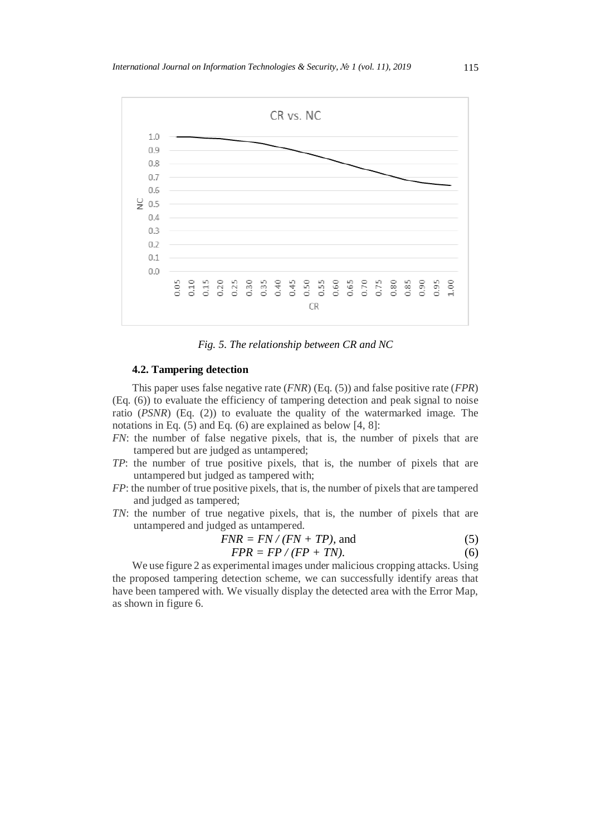![](_page_8_Figure_1.jpeg)

*Fig. 5. The relationship between CR and NC*

### **4.2. Tampering detection**

This paper uses false negative rate (*FNR*) (Eq. (5)) and false positive rate (*FPR*) (Eq. (6)) to evaluate the efficiency of tampering detection and peak signal to noise ratio (*PSNR*) (Eq. (2)) to evaluate the quality of the watermarked image. The notations in Eq. (5) and Eq. (6) are explained as below [4, 8]:

- *FN*: the number of false negative pixels, that is, the number of pixels that are tampered but are judged as untampered;
- *TP*: the number of true positive pixels, that is, the number of pixels that are untampered but judged as tampered with;
- *FP*: the number of true positive pixels, that is, the number of pixels that are tampered and judged as tampered;
- *TN*: the number of true negative pixels, that is, the number of pixels that are untampered and judged as untampered.

$$
FNR = FN / (FN + TP), \text{ and}
$$
 (5)

$$
FPR = FP / (FP + TN). \tag{6}
$$

We use figure 2 as experimental images under malicious cropping attacks. Using the proposed tampering detection scheme, we can successfully identify areas that have been tampered with. We visually display the detected area with the Error Map, as shown in figure 6.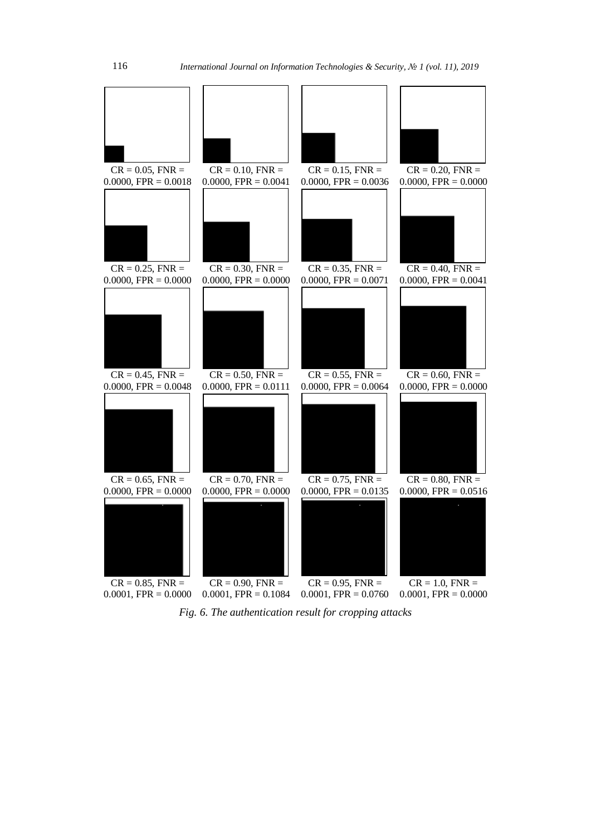![](_page_9_Figure_2.jpeg)

*Fig. 6. The authentication result for cropping attacks*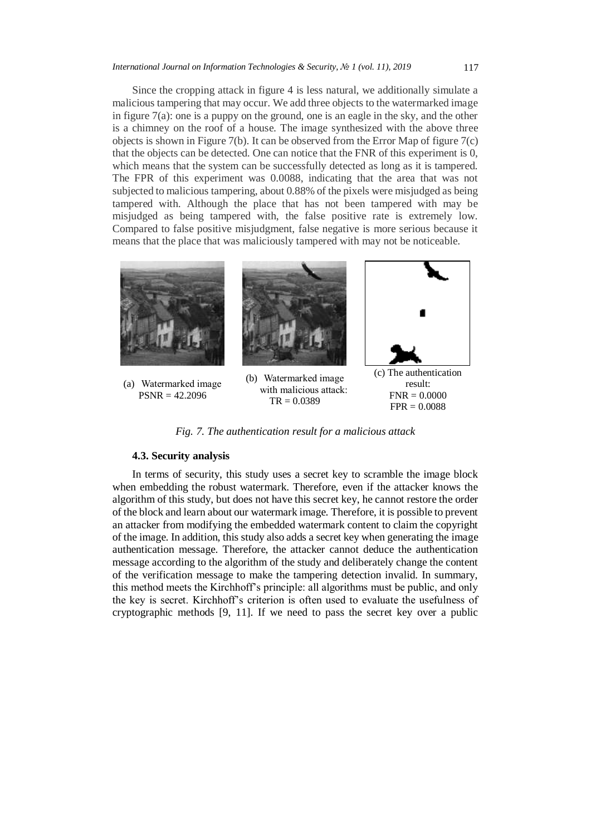Since the cropping attack in figure 4 is less natural, we additionally simulate a malicious tampering that may occur. We add three objects to the watermarked image in figure 7(a): one is a puppy on the ground, one is an eagle in the sky, and the other is a chimney on the roof of a house. The image synthesized with the above three objects is shown in Figure 7(b). It can be observed from the Error Map of figure 7(c) that the objects can be detected. One can notice that the FNR of this experiment is 0, which means that the system can be successfully detected as long as it is tampered. The FPR of this experiment was 0.0088, indicating that the area that was not subjected to malicious tampering, about 0.88% of the pixels were misjudged as being tampered with. Although the place that has not been tampered with may be misjudged as being tampered with, the false positive rate is extremely low. Compared to false positive misjudgment, false negative is more serious because it means that the place that was maliciously tampered with may not be noticeable.

![](_page_10_Figure_2.jpeg)

*Fig. 7. The authentication result for a malicious attack*

#### **4.3. Security analysis**

In terms of security, this study uses a secret key to scramble the image block when embedding the robust watermark. Therefore, even if the attacker knows the algorithm of this study, but does not have this secret key, he cannot restore the order of the block and learn about our watermark image. Therefore, it is possible to prevent an attacker from modifying the embedded watermark content to claim the copyright of the image. In addition, this study also adds a secret key when generating the image authentication message. Therefore, the attacker cannot deduce the authentication message according to the algorithm of the study and deliberately change the content of the verification message to make the tampering detection invalid. In summary, this method meets the Kirchhoff's principle: all algorithms must be public, and only the key is secret. Kirchhoff's criterion is often used to evaluate the usefulness of cryptographic methods [9, 11]. If we need to pass the secret key over a public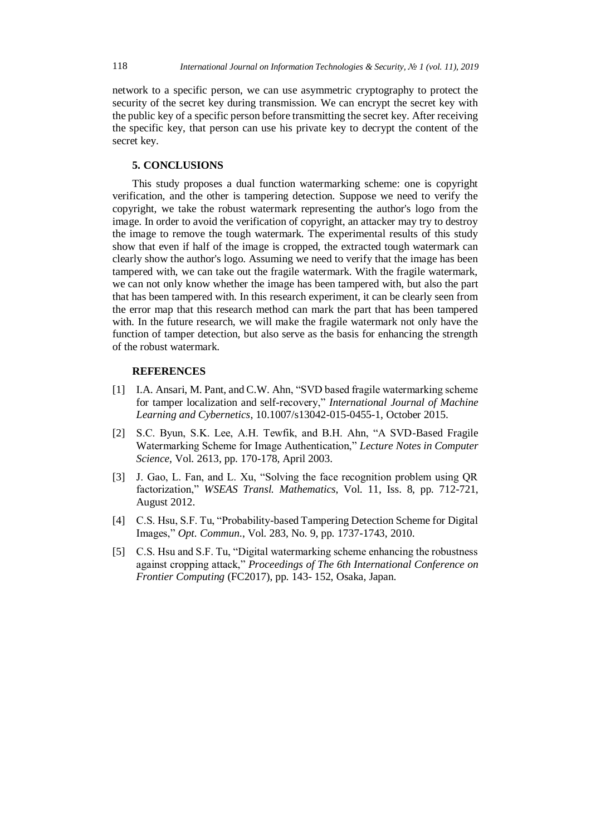network to a specific person, we can use asymmetric cryptography to protect the security of the secret key during transmission. We can encrypt the secret key with the public key of a specific person before transmitting the secret key. After receiving the specific key, that person can use his private key to decrypt the content of the secret key.

# **5. CONCLUSIONS**

This study proposes a dual function watermarking scheme: one is copyright verification, and the other is tampering detection. Suppose we need to verify the copyright, we take the robust watermark representing the author's logo from the image. In order to avoid the verification of copyright, an attacker may try to destroy the image to remove the tough watermark. The experimental results of this study show that even if half of the image is cropped, the extracted tough watermark can clearly show the author's logo. Assuming we need to verify that the image has been tampered with, we can take out the fragile watermark. With the fragile watermark, we can not only know whether the image has been tampered with, but also the part that has been tampered with. In this research experiment, it can be clearly seen from the error map that this research method can mark the part that has been tampered with. In the future research, we will make the fragile watermark not only have the function of tamper detection, but also serve as the basis for enhancing the strength of the robust watermark.

# **REFERENCES**

- [1] I.A. Ansari, M. Pant, and C.W. Ahn, "SVD based fragile watermarking scheme for tamper localization and self-recovery," *International Journal of Machine Learning and Cybernetics*, 10.1007/s13042-015-0455-1, October 2015.
- [2] S.C. Byun, S.K. Lee, A.H. Tewfik, and B.H. Ahn, "A SVD-Based Fragile Watermarking Scheme for Image Authentication," *Lecture Notes in Computer Science*, Vol. 2613, pp. 170-178, April 2003.
- [3] J. Gao, L. Fan, and L. Xu, "Solving the face recognition problem using QR factorization," *WSEAS Transl. Mathematics*, Vol. 11, Iss. 8, pp. 712-721, August 2012.
- [4] C.S. Hsu, S.F. Tu, "Probability-based Tampering Detection Scheme for Digital Images," *Opt. Commun*., Vol. 283, No. 9, pp. 1737-1743, 2010.
- [5] C.S. Hsu and S.F. Tu, "Digital watermarking scheme enhancing the robustness against cropping attack," *Proceedings of The 6th International Conference on Frontier Computing* (FC2017), pp. 143- 152, Osaka, Japan.